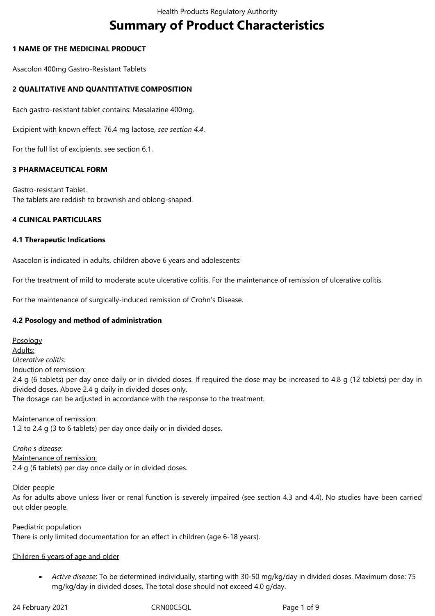# **Summary of Product Characteristics**

# **1 NAME OF THE MEDICINAL PRODUCT**

Asacolon 400mg Gastro-Resistant Tablets

# **2 QUALITATIVE AND QUANTITATIVE COMPOSITION**

Each gastro-resistant tablet contains: Mesalazine 400mg.

Excipient with known effect: 76.4 mg lactose, *see section 4.4*.

For the full list of excipients, see section 6.1.

#### **3 PHARMACEUTICAL FORM**

Gastro-resistant Tablet. The tablets are reddish to brownish and oblong-shaped.

#### **4 CLINICAL PARTICULARS**

#### **4.1 Therapeutic Indications**

Asacolon is indicated in adults, children above 6 years and adolescents:

For the treatment of mild to moderate acute ulcerative colitis. For the maintenance of remission of ulcerative colitis.

For the maintenance of surgically-induced remission of Crohn's Disease.

#### **4.2 Posology and method of administration**

Posology Adults: *Ulcerative colitis:* Induction of remission: 2.4 g (6 tablets) per day once daily or in divided doses. If required the dose may be increased to 4.8 g (12 tablets) per day in divided doses. Above 2.4 g daily in divided doses only. The dosage can be adjusted in accordance with the response to the treatment.

Maintenance of remission: 1.2 to 2.4 g (3 to 6 tablets) per day once daily or in divided doses.

*Crohn's disease:* Maintenance of remission: 2.4 g (6 tablets) per day once daily or in divided doses.

#### Older people

As for adults above unless liver or renal function is severely impaired (see section 4.3 and 4.4). No studies have been carried out older people.

Paediatric population There is only limited documentation for an effect in children (age 6-18 years).

#### Children 6 years of age and older

 *Active disease*: To be determined individually, starting with 30-50 mg/kg/day in divided doses. Maximum dose: 75 mg/kg/day in divided doses. The total dose should not exceed 4.0 g/day.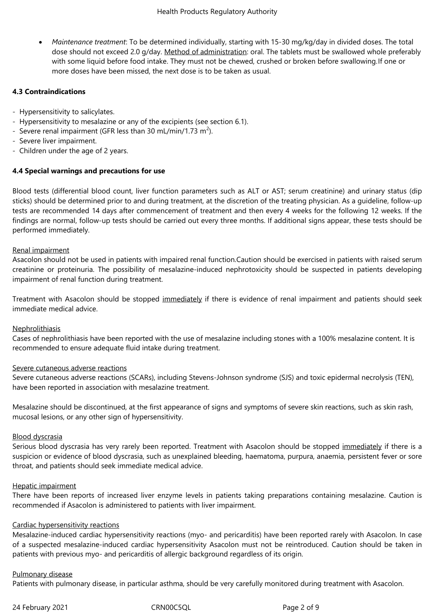*Maintenance treatment*: To be determined individually, starting with 15-30 mg/kg/day in divided doses. The total dose should not exceed 2.0 g/day. Method of administration: oral. The tablets must be swallowed whole preferably with some liquid before food intake. They must not be chewed, crushed or broken before swallowing.If one or more doses have been missed, the next dose is to be taken as usual.

# **4.3 Contraindications**

- Hypersensitivity to salicylates.
- Hypersensitivity to mesalazine or any of the excipients (see section 6.1).
- Severe renal impairment (GFR less than 30 mL/min/1.73 m<sup>2</sup>).
- Severe liver impairment.
- Children under the age of 2 years.

# **4.4 Special warnings and precautions for use**

Blood tests (differential blood count, liver function parameters such as ALT or AST; serum creatinine) and urinary status (dip sticks) should be determined prior to and during treatment, at the discretion of the treating physician. As a guideline, follow-up tests are recommended 14 days after commencement of treatment and then every 4 weeks for the following 12 weeks. If the findings are normal, follow-up tests should be carried out every three months. If additional signs appear, these tests should be performed immediately.

#### Renal impairment

Asacolon should not be used in patients with impaired renal function.Caution should be exercised in patients with raised serum creatinine or proteinuria. The possibility of mesalazine-induced nephrotoxicity should be suspected in patients developing impairment of renal function during treatment.

Treatment with Asacolon should be stopped immediately if there is evidence of renal impairment and patients should seek immediate medical advice.

#### **Nephrolithiasis**

Cases of nephrolithiasis have been reported with the use of mesalazine including stones with a 100% mesalazine content. It is recommended to ensure adequate fluid intake during treatment.

#### Severe cutaneous adverse reactions

Severe cutaneous adverse reactions (SCARs), including Stevens-Johnson syndrome (SJS) and toxic epidermal necrolysis (TEN), have been reported in association with mesalazine treatment.

Mesalazine should be discontinued, at the first appearance of signs and symptoms of severe skin reactions, such as skin rash, mucosal lesions, or any other sign of hypersensitivity.

#### Blood dyscrasia

Serious blood dyscrasia has very rarely been reported. Treatment with Asacolon should be stopped immediately if there is a suspicion or evidence of blood dyscrasia, such as unexplained bleeding, haematoma, purpura, anaemia, persistent fever or sore throat, and patients should seek immediate medical advice.

#### Hepatic impairment

There have been reports of increased liver enzyme levels in patients taking preparations containing mesalazine. Caution is recommended if Asacolon is administered to patients with liver impairment.

#### Cardiac hypersensitivity reactions

Mesalazine-induced cardiac hypersensitivity reactions (myo- and pericarditis) have been reported rarely with Asacolon. In case of a suspected mesalazine-induced cardiac hypersensitivity Asacolon must not be reintroduced. Caution should be taken in patients with previous myo- and pericarditis of allergic background regardless of its origin.

#### Pulmonary disease

Patients with pulmonary disease, in particular asthma, should be very carefully monitored during treatment with Asacolon.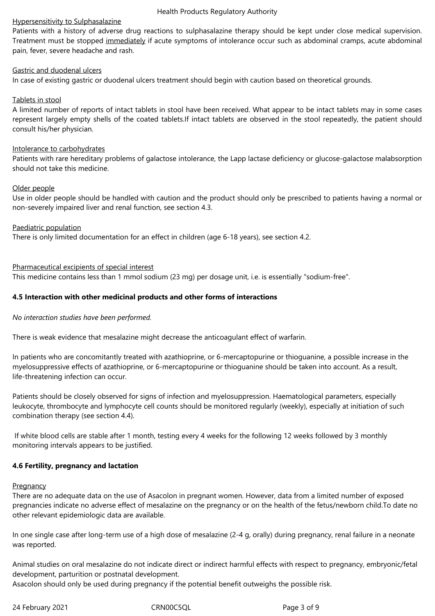#### Health Products Regulatory Authority

#### Hypersensitivity to Sulphasalazine

Patients with a history of adverse drug reactions to sulphasalazine therapy should be kept under close medical supervision. Treatment must be stopped immediately if acute symptoms of intolerance occur such as abdominal cramps, acute abdominal pain, fever, severe headache and rash.

#### Gastric and duodenal ulcers

In case of existing gastric or duodenal ulcers treatment should begin with caution based on theoretical grounds.

### Tablets in stool

A limited number of reports of intact tablets in stool have been received. What appear to be intact tablets may in some cases represent largely empty shells of the coated tablets.If intact tablets are observed in the stool repeatedly, the patient should consult his/her physician.

#### Intolerance to carbohydrates

Patients with rare hereditary problems of galactose intolerance, the Lapp lactase deficiency or glucose-galactose malabsorption should not take this medicine.

#### Older people

Use in older people should be handled with caution and the product should only be prescribed to patients having a normal or non-severely impaired liver and renal function, see section 4.3.

#### Paediatric population

There is only limited documentation for an effect in children (age 6-18 years), see section 4.2.

#### Pharmaceutical excipients of special interest

This medicine contains less than 1 mmol sodium (23 mg) per dosage unit, i.e. is essentially "sodium-free".

#### **4.5 Interaction with other medicinal products and other forms of interactions**

#### *No interaction studies have been performed.*

There is weak evidence that mesalazine might decrease the anticoagulant effect of warfarin.

In patients who are concomitantly treated with azathioprine, or 6-mercaptopurine or thioguanine, a possible increase in the myelosuppressive effects of azathioprine, or 6-mercaptopurine or thioguanine should be taken into account. As a result, life-threatening infection can occur.

Patients should be closely observed for signs of infection and myelosuppression. Haematological parameters, especially leukocyte, thrombocyte and lymphocyte cell counts should be monitored regularly (weekly), especially at initiation of such combination therapy (see section 4.4).

 If white blood cells are stable after 1 month, testing every 4 weeks for the following 12 weeks followed by 3 monthly monitoring intervals appears to be justified.

#### **4.6 Fertility, pregnancy and lactation**

#### **Pregnancy**

There are no adequate data on the use of Asacolon in pregnant women. However, data from a limited number of exposed pregnancies indicate no adverse effect of mesalazine on the pregnancy or on the health of the fetus/newborn child.To date no other relevant epidemiologic data are available.

In one single case after long-term use of a high dose of mesalazine (2-4 g, orally) during pregnancy, renal failure in a neonate was reported.

Animal studies on oral mesalazine do not indicate direct or indirect harmful effects with respect to pregnancy, embryonic/fetal development, parturition or postnatal development.

Asacolon should only be used during pregnancy if the potential benefit outweighs the possible risk.

24 February 2021 CRN00C5QL Page 3 of 9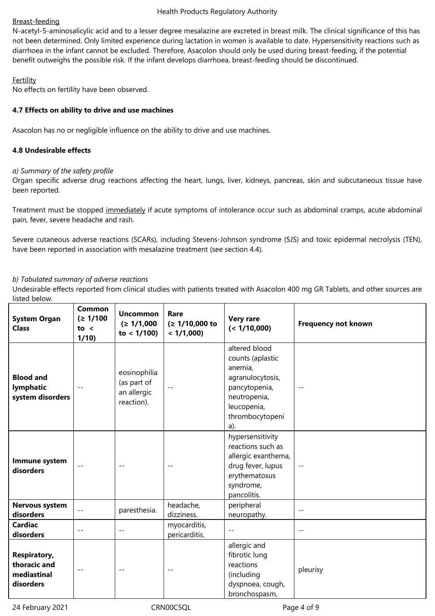# Breast-feeding

N-acetyl-5-aminosalicylic acid and to a lesser degree mesalazine are excreted in breast milk. The clinical significance of this has not been determined. Only limited experience during lactation in women is available to date. Hypersensitivity reactions such as diarrhoea in the infant cannot be excluded. Therefore, Asacolon should only be used during breast-feeding, if the potential benefit outweighs the possible risk. If the infant develops diarrhoea, breast-feeding should be discontinued.

# **Fertility**

No effects on fertility have been observed.

# **4.7 Effects on ability to drive and use machines**

Asacolon has no or negligible influence on the ability to drive and use machines.

# **4.8 Undesirable effects**

# *a) Summary of the safety profile*

Organ specific adverse drug reactions affecting the heart, lungs, liver, kidneys, pancreas, skin and subcutaneous tissue have been reported.

Treatment must be stopped immediately if acute symptoms of intolerance occur such as abdominal cramps, acute abdominal pain, fever, severe headache and rash.

Severe cutaneous adverse reactions (SCARs), including Stevens-Johnson syndrome (SJS) and toxic epidermal necrolysis (TEN), have been reported in association with mesalazine treatment (see section 4.4).

# *b) Tabulated summary of adverse reactions*

Undesirable effects reported from clinical studies with patients treated with Asacolon 400 mg GR Tablets, and other sources are listed below.

| <b>System Organ</b><br><b>Class</b>                             | Common<br>(≥ 1/100<br>to <<br>1/10 | <b>Uncommon</b><br>(≥ 1/1,000<br>to $< 1/100$ )          | Rare<br>$(≥ 1/10,000$ to<br>< 1/1,000 | <b>Very rare</b><br>(< 1/10,000)                                                                                                           | <b>Frequency not known</b> |
|-----------------------------------------------------------------|------------------------------------|----------------------------------------------------------|---------------------------------------|--------------------------------------------------------------------------------------------------------------------------------------------|----------------------------|
| <b>Blood and</b><br>lymphatic<br>system disorders               |                                    | eosinophilia<br>(as part of<br>an allergic<br>reaction). | $ -$                                  | altered blood<br>counts (aplastic<br>anemia,<br>agranulocytosis,<br>pancytopenia,<br>neutropenia,<br>leucopenia,<br>thrombocytopeni<br>a). | $- -$                      |
| Immune system<br>disorders                                      | $- -$                              | $- -$                                                    | $ -$                                  | hypersensitivity<br>reactions such as<br>allergic exanthema,<br>drug fever, lupus<br>erythematosus<br>syndrome,<br>pancolitis.             | --                         |
| Nervous system<br>disorders                                     | $-\,-$                             | paresthesia.                                             | headache,<br>dizziness.               | peripheral<br>neuropathy.                                                                                                                  | $- -$                      |
| <b>Cardiac</b><br>disorders                                     | $- -$                              | $\overline{\phantom{m}}$                                 | myocarditis,<br>pericarditis.         | $- -$                                                                                                                                      | $- -$                      |
| <b>Respiratory,</b><br>thoracic and<br>mediastinal<br>disorders |                                    | $- -$                                                    |                                       | allergic and<br>fibrotic lung<br>reactions<br>(including<br>dyspnoea, cough,<br>bronchospasm,                                              | pleurisy                   |

24 February 2021 CRN00C5QL Page 4 of 9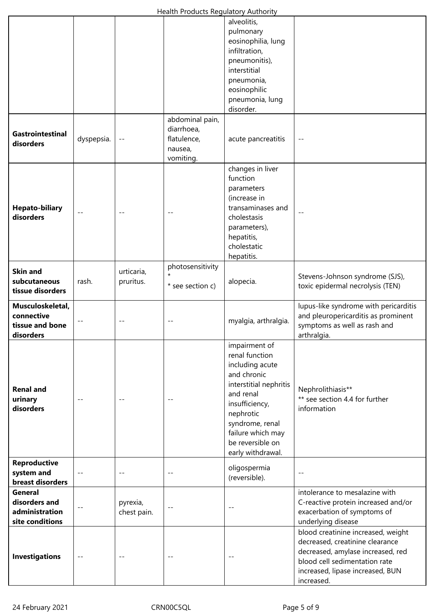# Health Products Regulatory Authority

| Health Products Regulatory Authority                           |            |                         |                                                                      |                                                                                                                                                                                                                          |                                                                                                                                                                                               |  |  |  |  |
|----------------------------------------------------------------|------------|-------------------------|----------------------------------------------------------------------|--------------------------------------------------------------------------------------------------------------------------------------------------------------------------------------------------------------------------|-----------------------------------------------------------------------------------------------------------------------------------------------------------------------------------------------|--|--|--|--|
|                                                                |            |                         |                                                                      | alveolitis,<br>pulmonary<br>eosinophilia, lung<br>infiltration,<br>pneumonitis),<br>interstitial<br>pneumonia,<br>eosinophilic<br>pneumonia, lung<br>disorder.                                                           |                                                                                                                                                                                               |  |  |  |  |
| Gastrointestinal<br>disorders                                  | dyspepsia. | $-\,-$                  | abdominal pain,<br>diarrhoea,<br>flatulence,<br>nausea,<br>vomiting. | acute pancreatitis                                                                                                                                                                                                       | --                                                                                                                                                                                            |  |  |  |  |
| <b>Hepato-biliary</b><br>disorders                             |            |                         |                                                                      | changes in liver<br>function<br>parameters<br>(increase in<br>transaminases and<br>cholestasis<br>parameters),<br>hepatitis,<br>cholestatic<br>hepatitis.                                                                |                                                                                                                                                                                               |  |  |  |  |
| <b>Skin and</b><br>subcutaneous<br>tissue disorders            | rash.      | urticaria,<br>pruritus. | photosensitivity<br>$\star$<br>* see section c)                      | alopecia.                                                                                                                                                                                                                | Stevens-Johnson syndrome (SJS),<br>toxic epidermal necrolysis (TEN)                                                                                                                           |  |  |  |  |
| Musculoskeletal,<br>connective<br>tissue and bone<br>disorders |            |                         |                                                                      | myalgia, arthralgia.                                                                                                                                                                                                     | lupus-like syndrome with pericarditis<br>and pleuropericarditis as prominent<br>symptoms as well as rash and<br>arthralgia.                                                                   |  |  |  |  |
| <b>Renal and</b><br>urinary<br>disorders                       |            |                         |                                                                      | impairment of<br>renal function<br>including acute<br>and chronic<br>interstitial nephritis<br>and renal<br>insufficiency,<br>nephrotic<br>syndrome, renal<br>failure which may<br>be reversible on<br>early withdrawal. | Nephrolithiasis**<br>** see section 4.4 for further<br>information                                                                                                                            |  |  |  |  |
| Reproductive<br>system and<br>breast disorders                 | $-$        | $ -$                    | $-$ -                                                                | oligospermia<br>(reversible).                                                                                                                                                                                            | $- -$                                                                                                                                                                                         |  |  |  |  |
| General<br>disorders and<br>administration<br>site conditions  |            | pyrexia,<br>chest pain. | $-$                                                                  |                                                                                                                                                                                                                          | intolerance to mesalazine with<br>C-reactive protein increased and/or<br>exacerbation of symptoms of<br>underlying disease                                                                    |  |  |  |  |
| <b>Investigations</b>                                          | $-\,-$     |                         | $ -$                                                                 |                                                                                                                                                                                                                          | blood creatinine increased, weight<br>decreased, creatinine clearance<br>decreased, amylase increased, red<br>blood cell sedimentation rate<br>increased, lipase increased, BUN<br>increased. |  |  |  |  |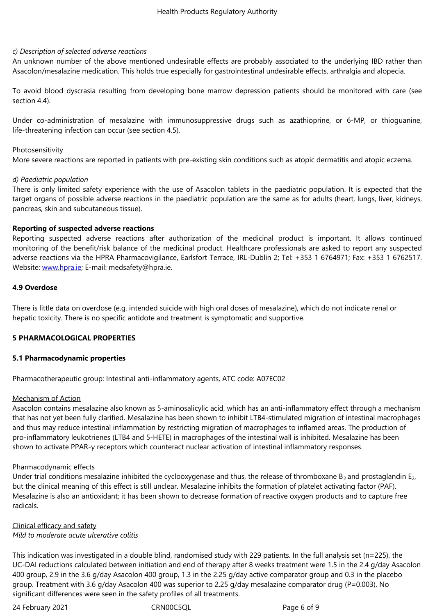#### *c) Description of selected adverse reactions*

An unknown number of the above mentioned undesirable effects are probably associated to the underlying IBD rather than Asacolon/mesalazine medication. This holds true especially for gastrointestinal undesirable effects, arthralgia and alopecia.

To avoid blood dyscrasia resulting from developing bone marrow depression patients should be monitored with care (see section 4.4).

Under co-administration of mesalazine with immunosuppressive drugs such as azathioprine, or 6-MP, or thioguanine, life-threatening infection can occur (see section 4.5).

#### Photosensitivity

More severe reactions are reported in patients with pre-existing skin conditions such as atopic dermatitis and atopic eczema.

#### *d) Paediatric population*

There is only limited safety experience with the use of Asacolon tablets in the paediatric population. It is expected that the target organs of possible adverse reactions in the paediatric population are the same as for adults (heart, lungs, liver, kidneys, pancreas, skin and subcutaneous tissue).

#### **Reporting of suspected adverse reactions**

Reporting suspected adverse reactions after authorization of the medicinal product is important. It allows continued monitoring of the benefit/risk balance of the medicinal product. Healthcare professionals are asked to report any suspected adverse reactions via the HPRA Pharmacovigilance, Earlsfort Terrace, IRL-Dublin 2; Tel: +353 1 6764971; Fax: +353 1 6762517. Website: www.hpra.ie; E-mail: medsafety@hpra.ie.

#### **4.9 Overdose**

There is l[ittle data on](http://www.hpra.ie/) overdose (e.g. intended suicide with high oral doses of mesalazine), which do not indicate renal or hepatic toxicity. There is no specific antidote and treatment is symptomatic and supportive.

#### **5 PHARMACOLOGICAL PROPERTIES**

#### **5.1 Pharmacodynamic properties**

Pharmacotherapeutic group: Intestinal anti-inflammatory agents, ATC code: A07EC02

#### Mechanism of Action

Asacolon contains mesalazine also known as 5-aminosalicylic acid, which has an anti-inflammatory effect through a mechanism that has not yet been fully clarified. Mesalazine has been shown to inhibit LTB4-stimulated migration of intestinal macrophages and thus may reduce intestinal inflammation by restricting migration of macrophages to inflamed areas. The production of pro-inflammatory leukotrienes (LTB4 and 5-HETE) in macrophages of the intestinal wall is inhibited. Mesalazine has been shown to activate PPAR-γ receptors which counteract nuclear activation of intestinal inflammatory responses.

#### Pharmacodynamic effects

Under trial conditions mesalazine inhibited the cyclooxygenase and thus, the release of thromboxane  $B_2$  and prostaglandin  $E_2$ , but the clinical meaning of this effect is still unclear. Mesalazine inhibits the formation of platelet activating factor (PAF). Mesalazine is also an antioxidant; it has been shown to decrease formation of reactive oxygen products and to capture free radicals.

# Clinical efficacy and safety

# *Mild to moderate acute ulcerative colitis*

This indication was investigated in a double blind, randomised study with 229 patients. In the full analysis set (n=225), the UC-DAI reductions calculated between initiation and end of therapy after 8 weeks treatment were 1.5 in the 2.4 g/day Asacolon 400 group, 2.9 in the 3.6 g/day Asacolon 400 group, 1.3 in the 2.25 g/day active comparator group and 0.3 in the placebo group. Treatment with 3.6 g/day Asacolon 400 was superior to 2.25 g/day mesalazine comparator drug (P=0.003). No significant differences were seen in the safety profiles of all treatments.

24 February 2021 CRN00C5QL Page 6 of 9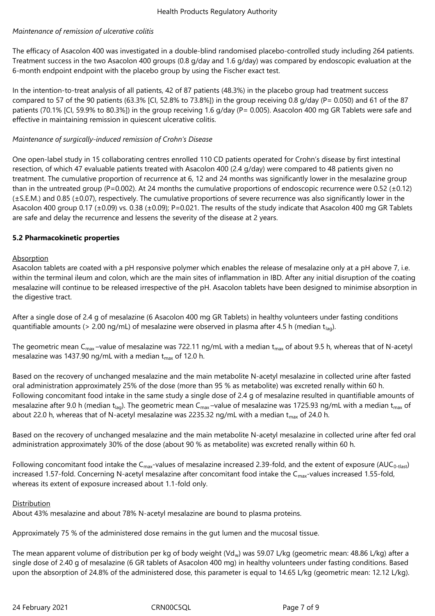# *Maintenance of remission of ulcerative colitis*

The efficacy of Asacolon 400 was investigated in a double-blind randomised placebo-controlled study including 264 patients. Treatment success in the two Asacolon 400 groups (0.8 g/day and 1.6 g/day) was compared by endoscopic evaluation at the 6-month endpoint endpoint with the placebo group by using the Fischer exact test.

In the intention-to-treat analysis of all patients, 42 of 87 patients (48.3%) in the placebo group had treatment success compared to 57 of the 90 patients (63.3% [CI, 52.8% to 73.8%]) in the group receiving 0.8 g/day (P= 0.050) and 61 of the 87 patients (70.1% [CI, 59.9% to 80.3%]) in the group receiving 1.6 g/day (P= 0.005). Asacolon 400 mg GR Tablets were safe and effective in maintaining remission in quiescent ulcerative colitis.

# *Maintenance of surgically-induced remission of Crohn's Disease*

One open-label study in 15 collaborating centres enrolled 110 CD patients operated for Crohn's disease by first intestinal resection, of which 47 evaluable patients treated with Asacolon 400 (2.4 g/day) were compared to 48 patients given no treatment. The cumulative proportion of recurrence at 6, 12 and 24 months was significantly lower in the mesalazine group than in the untreated group (P=0.002). At 24 months the cumulative proportions of endoscopic recurrence were 0.52 ( $\pm$ 0.12) (±S.E.M.) and 0.85 (±0.07), respectively. The cumulative proportions of severe recurrence was also significantly lower in the Asacolon 400 group 0.17 (±0.09) vs. 0.38 (±0.09); P=0.021. The results of the study indicate that Asacolon 400 mg GR Tablets are safe and delay the recurrence and lessens the severity of the disease at 2 years.

# **5.2 Pharmacokinetic properties**

# Absorption

Asacolon tablets are coated with a pH responsive polymer which enables the release of mesalazine only at a pH above 7, i.e. within the terminal ileum and colon, which are the main sites of inflammation in IBD. After any initial disruption of the coating mesalazine will continue to be released irrespective of the pH. Asacolon tablets have been designed to minimise absorption in the digestive tract.

After a single dose of 2.4 g of mesalazine (6 Asacolon 400 mg GR Tablets) in healthy volunteers under fasting conditions quantifiable amounts (> 2.00 ng/mL) of mesalazine were observed in plasma after 4.5 h (median t<sub>lag</sub>).

The geometric mean C<sub>max</sub>-value of mesalazine was 722.11 ng/mL with a median t<sub>max</sub> of about 9.5 h, whereas that of N-acetyl mesalazine was 1437.90 ng/mL with a median  $t_{\text{max}}$  of 12.0 h.

Based on the recovery of unchanged mesalazine and the main metabolite N-acetyl mesalazine in collected urine after fasted oral administration approximately 25% of the dose (more than 95 % as metabolite) was excreted renally within 60 h. Following concomitant food intake in the same study a single dose of 2.4 g of mesalazine resulted in quantifiable amounts of mesalazine after 9.0 h (median t<sub>lag</sub>). The geometric mean C<sub>max</sub>-value of mesalazine was 1725.93 ng/mL with a median t<sub>max</sub> of about 22.0 h, whereas that of N-acetyl mesalazine was 2235.32 ng/mL with a median  $t_{\text{max}}$  of 24.0 h.

Based on the recovery of unchanged mesalazine and the main metabolite N-acetyl mesalazine in collected urine after fed oral administration approximately 30% of the dose (about 90 % as metabolite) was excreted renally within 60 h.

Following concomitant food intake the  $C_{\text{max}}$ -values of mesalazine increased 2.39-fold, and the extent of exposure (AUC<sub>0-tlast</sub>) increased 1.57-fold. Concerning N-acetyl mesalazine after concomitant food intake the C<sub>max</sub>-values increased 1.55-fold, whereas its extent of exposure increased about 1.1-fold only.

#### Distribution

About 43% mesalazine and about 78% N-acetyl mesalazine are bound to plasma proteins.

Approximately 75 % of the administered dose remains in the gut lumen and the mucosal tissue.

The mean apparent volume of distribution per kg of body weight (Vd<sub>w</sub>) was 59.07 L/kg (geometric mean: 48.86 L/kg) after a single dose of 2.40 g of mesalazine (6 GR tablets of Asacolon 400 mg) in healthy volunteers under fasting conditions. Based upon the absorption of 24.8% of the administered dose, this parameter is equal to 14.65 L/kg (geometric mean: 12.12 L/kg).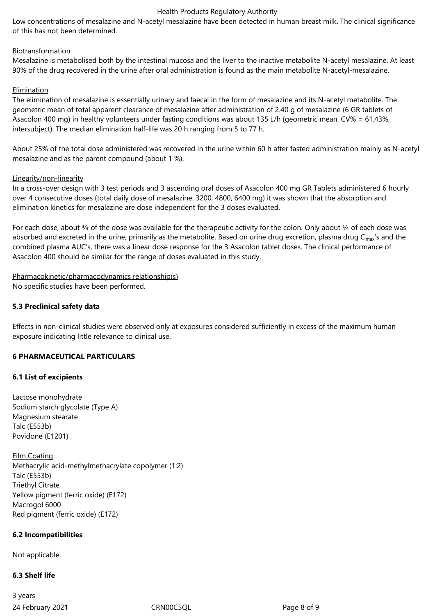#### Health Products Regulatory Authority

Low concentrations of mesalazine and N-acetyl mesalazine have been detected in human breast milk. The clinical significance of this has not been determined.

### Biotransformation

Mesalazine is metabolised both by the intestinal mucosa and the liver to the inactive metabolite N-acetyl mesalazine. At least 90% of the drug recovered in the urine after oral administration is found as the main metabolite N-acetyl-mesalazine.

# Elimination

The elimination of mesalazine is essentially urinary and faecal in the form of mesalazine and its N-acetyl metabolite. The geometric mean of total apparent clearance of mesalazine after administration of 2.40 g of mesalazine (6 GR tablets of Asacolon 400 mg) in healthy volunteers under fasting conditions was about 135 L/h (geometric mean, CV% = 61.43%, intersubject). The median elimination half-life was 20 h ranging from 5 to 77 h.

About 25% of the total dose administered was recovered in the urine within 60 h after fasted administration mainly as N-acetyl mesalazine and as the parent compound (about 1 %).

#### Linearity/non-linearity

In a cross-over design with 3 test periods and 3 ascending oral doses of Asacolon 400 mg GR Tablets administered 6 hourly over 4 consecutive doses (total daily dose of mesalazine: 3200, 4800, 6400 mg) it was shown that the absorption and elimination kinetics for mesalazine are dose independent for the 3 doses evaluated.

For each dose, about  $\frac{3}{4}$  of the dose was available for the therapeutic activity for the colon. Only about  $\frac{1}{4}$  of each dose was absorbed and excreted in the urine, primarily as the metabolite. Based on urine drug excretion, plasma drug  $C_{\text{max}}$ 's and the combined plasma AUC's, there was a linear dose response for the 3 Asacolon tablet doses. The clinical performance of Asacolon 400 should be similar for the range of doses evaluated in this study.

Pharmacokinetic/pharmacodynamics relationship(s) No specific studies have been performed.

### **5.3 Preclinical safety data**

Effects in non-clinical studies were observed only at exposures considered sufficiently in excess of the maximum human exposure indicating little relevance to clinical use.

# **6 PHARMACEUTICAL PARTICULARS**

# **6.1 List of excipients**

Lactose monohydrate Sodium starch glycolate (Type A) Magnesium stearate Talc (E553b) Povidone (E1201)

Film Coating Methacrylic acid-methylmethacrylate copolymer (1:2) Talc (E553b) Triethyl Citrate Yellow pigment (ferric oxide) (E172) Macrogol 6000 Red pigment (ferric oxide) (E172)

# **6.2 Incompatibilities**

Not applicable.

#### **6.3 Shelf life**

24 February 2021 CRN00C5QL Page 8 of 9 3 years